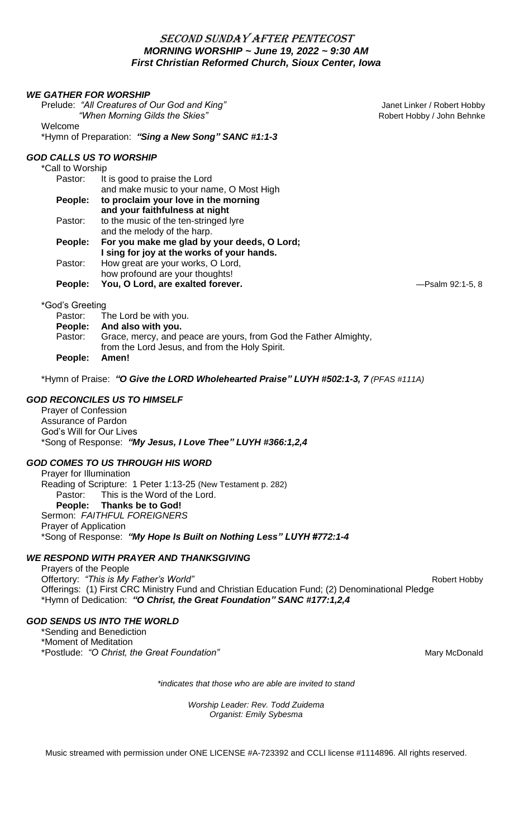# SECOND SUNDAY AFTER PENTECOST *MORNING WORSHIP ~ June 19, 2022 ~ 9:30 AM* *First Christian Reformed Church, Sioux Center, Iowa*

#### *WE GATHER FOR WORSHIP*

Prelude: "All Creatures of Our God and King" **The Communist Control of Control And Annual Control of Control Annual Control of Control Annual Control of Control of Control of Control of Control of Control of Control of Con** *"When Morning Gilds the Skies"* **Accord 2018 Robert Hobby / John Behnke** Welcome

\*Hymn of Preparation: *"Sing a New Song" SANC #1:1-3*

## *GOD CALLS US TO WORSHIP*

\*Call to Worship

| Pastor: | It is good to praise the Lord               |
|---------|---------------------------------------------|
|         | and make music to your name, O Most High    |
| People: | to proclaim your love in the morning        |
|         | and your faithfulness at night              |
| Pastor: | to the music of the ten-stringed lyre       |
|         | and the melody of the harp.                 |
| People: | For you make me glad by your deeds, O Lord; |
|         | I sing for joy at the works of your hands.  |
| Pastor: | How great are your works, O Lord,           |
|         | how profound are your thoughts!             |
| People: | You, O Lord, are exalted forever.           |

#### \*God's Greeting

|               | Pastor: The Lord be with you.                                                                                      |
|---------------|--------------------------------------------------------------------------------------------------------------------|
|               | People: And also with you.                                                                                         |
| Pastor:       | Grace, mercy, and peace are yours, from God the Father Almighty,<br>from the Lord Jesus, and from the Holy Spirit. |
| People: Amen! |                                                                                                                    |

\*Hymn of Praise: *"O Give the LORD Wholehearted Praise" LUYH #502:1-3, 7 (PFAS #111A)*

## *GOD RECONCILES US TO HIMSELF*

Prayer of Confession Assurance of Pardon God's Will for Our Lives \*Song of Response: *"My Jesus, I Love Thee" LUYH #366:1,2,4*

## *GOD COMES TO US THROUGH HIS WORD*

Prayer for Illumination Reading of Scripture: 1 Peter 1:13-25 (New Testament p. 282) Pastor: This is the Word of the Lord. **People: Thanks be to God!** Sermon: *FAITHFUL FOREIGNERS* Prayer of Application \*Song of Response: *"My Hope Is Built on Nothing Less" LUYH #772:1-4*

## *WE RESPOND WITH PRAYER AND THANKSGIVING*

Prayers of the People Offertory: *"This is My Father's World"* and the contract of the contract of the Robert Hobby Offerings: (1) First CRC Ministry Fund and Christian Education Fund; (2) Denominational Pledge \*Hymn of Dedication: *"O Christ, the Great Foundation" SANC #177:1,2,4*

## *GOD SENDS US INTO THE WORLD*

\*Sending and Benediction \*Moment of Meditation \*Postlude: "O Christ, the Great Foundation" and the Control of the Mary McDonald

*\*indicates that those who are able are invited to stand*

*Worship Leader: Rev. Todd Zuidema Organist: Emily Sybesma*

Music streamed with permission under ONE LICENSE #A-723392 and CCLI license #1114896. All rights reserved.

**People: You, O Lord, are exalted forever.** —Psalm 92:1-5, 8